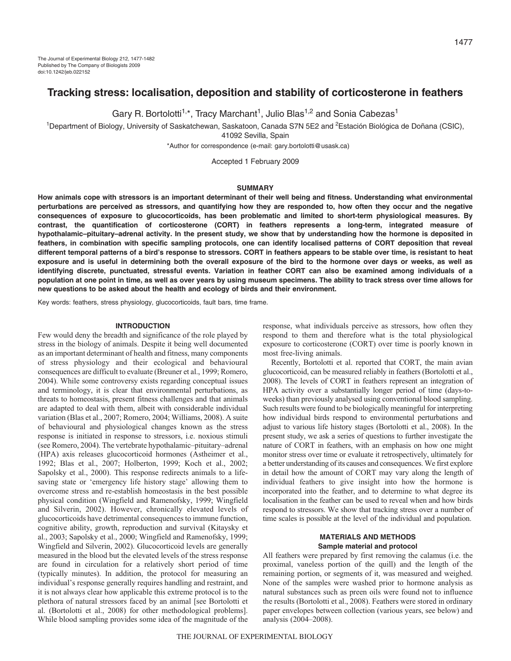# **Tracking stress: localisation, deposition and stability of corticosterone in feathers**

Gary R. Bortolotti<sup>1,\*</sup>, Tracy Marchant<sup>1</sup>, Julio Blas<sup>1,2</sup> and Sonia Cabezas<sup>1</sup>

<sup>1</sup>Department of Biology, University of Saskatchewan, Saskatoon, Canada S7N 5E2 and <sup>2</sup>Estación Biológica de Doñana (CSIC),

41092 Sevilla, Spain

\*Author for correspondence (e-mail: gary.bortolotti@usask.ca)

Accepted 1 February 2009

## **SUMMARY**

**How animals cope with stressors is an important determinant of their well being and fitness. Understanding what environmental perturbations are perceived as stressors, and quantifying how they are responded to, how often they occur and the negative consequences of exposure to glucocorticoids, has been problematic and limited to short-term physiological measures. By contrast, the quantification of corticosterone (CORT) in feathers represents a long-term, integrated measure of hypothalamic–pituitary–adrenal activity. In the present study, we show that by understanding how the hormone is deposited in feathers, in combination with specific sampling protocols, one can identify localised patterns of CORT deposition that reveal different temporal patterns of a bird's response to stressors. CORT in feathers appears to be stable over time, is resistant to heat exposure and is useful in determining both the overall exposure of the bird to the hormone over days or weeks, as well as identifying discrete, punctuated, stressful events. Variation in feather CORT can also be examined among individuals of a population at one point in time, as well as over years by using museum specimens. The ability to track stress over time allows for new questions to be asked about the health and ecology of birds and their environment.**

Key words: feathers, stress physiology, glucocorticoids, fault bars, time frame.

### **INTRODUCTION**

Few would deny the breadth and significance of the role played by stress in the biology of animals. Despite it being well documented as an important determinant of health and fitness, many components of stress physiology and their ecological and behavioural consequences are difficult to evaluate (Breuner et al., 1999; Romero, 2004). While some controversy exists regarding conceptual issues and terminology, it is clear that environmental perturbations, as threats to homeostasis, present fitness challenges and that animals are adapted to deal with them, albeit with considerable individual variation (Blas et al., 2007; Romero, 2004; Williams, 2008). A suite of behavioural and physiological changes known as the stress response is initiated in response to stressors, i.e. noxious stimuli (see Romero, 2004). The vertebrate hypothalamic–pituitary–adrenal (HPA) axis releases glucocorticoid hormones (Astheimer et al., 1992; Blas et al., 2007; Holberton, 1999; Koch et al., 2002; Sapolsky et al., 2000). This response redirects animals to a lifesaving state or 'emergency life history stage' allowing them to overcome stress and re-establish homeostasis in the best possible physical condition (Wingfield and Ramenofsky, 1999; Wingfield and Silverin, 2002). However, chronically elevated levels of glucocorticoids have detrimental consequences to immune function, cognitive ability, growth, reproduction and survival (Kitaysky et al., 2003; Sapolsky et al., 2000; Wingfield and Ramenofsky, 1999; Wingfield and Silverin, 2002). Glucocorticoid levels are generally measured in the blood but the elevated levels of the stress response are found in circulation for a relatively short period of time (typically minutes). In addition, the protocol for measuring an individual's response generally requires handling and restraint, and it is not always clear how applicable this extreme protocol is to the plethora of natural stressors faced by an animal [see Bortolotti et al. (Bortolotti et al., 2008) for other methodological problems]. While blood sampling provides some idea of the magnitude of the

response, what individuals perceive as stressors, how often they respond to them and therefore what is the total physiological exposure to corticosterone (CORT) over time is poorly known in most free-living animals.

Recently, Bortolotti et al. reported that CORT, the main avian glucocorticoid, can be measured reliably in feathers (Bortolotti et al., 2008). The levels of CORT in feathers represent an integration of HPA activity over a substantially longer period of time (days-toweeks) than previously analysed using conventional blood sampling. Such results were found to be biologically meaningful for interpreting how individual birds respond to environmental perturbations and adjust to various life history stages (Bortolotti et al., 2008). In the present study, we ask a series of questions to further investigate the nature of CORT in feathers, with an emphasis on how one might monitor stress over time or evaluate it retrospectively, ultimately for a better understanding of its causes and consequences. We first explore in detail how the amount of CORT may vary along the length of individual feathers to give insight into how the hormone is incorporated into the feather, and to determine to what degree its localisation in the feather can be used to reveal when and how birds respond to stressors. We show that tracking stress over a number of time scales is possible at the level of the individual and population.

## **MATERIALS AND METHODS Sample material and protocol**

All feathers were prepared by first removing the calamus (i.e. the proximal, vaneless portion of the quill) and the length of the remaining portion, or segments of it, was measured and weighed. None of the samples were washed prior to hormone analysis as natural substances such as preen oils were found not to influence the results (Bortolotti et al., 2008). Feathers were stored in ordinary paper envelopes between collection (various years, see below) and analysis (2004–2008).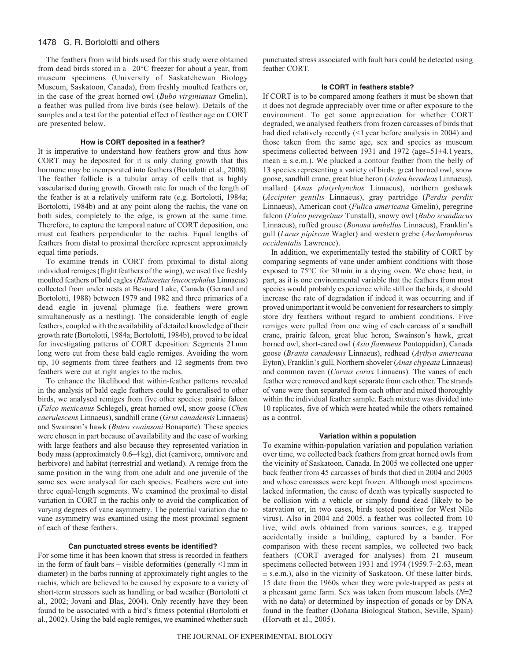## 1478 G. R. Bortolotti and others

The feathers from wild birds used for this study were obtained from dead birds stored in a –20°C freezer for about a year, from museum specimens (University of Saskatchewan Biology Museum, Saskatoon, Canada), from freshly moulted feathers or, in the case of the great horned owl (*Bubo virginianus* Gmelin), a feather was pulled from live birds (see below). Details of the samples and a test for the potential effect of feather age on CORT are presented below.

## **How is CORT deposited in a feather?**

It is imperative to understand how feathers grow and thus how CORT may be deposited for it is only during growth that this hormone may be incorporated into feathers (Bortolotti et al., 2008). The feather follicle is a tubular array of cells that is highly vascularised during growth. Growth rate for much of the length of the feather is at a relatively uniform rate (e.g. Bortolotti, 1984a; Bortolotti, 1984b) and at any point along the rachis, the vane on both sides, completely to the edge, is grown at the same time. Therefore, to capture the temporal nature of CORT deposition, one must cut feathers perpendicular to the rachis. Equal lengths of feathers from distal to proximal therefore represent approximately equal time periods.

To examine trends in CORT from proximal to distal along individual remiges (flight feathers of the wing), we used five freshly moulted feathers of bald eagles (*Haliaeetus leucocephalus* Linnaeus) collected from under nests at Besnard Lake, Canada (Gerrard and Bortolotti, 1988) between 1979 and 1982 and three primaries of a dead eagle in juvenal plumage (i.e. feathers were grown simultaneously as a nestling). The considerable length of eagle feathers, coupled with the availability of detailed knowledge of their growth rate (Bortolotti, 1984a; Bortolotti, 1984b), proved to be ideal for investigating patterns of CORT deposition. Segments 21mm long were cut from these bald eagle remiges. Avoiding the worn tip, 10 segments from three feathers and 12 segments from two feathers were cut at right angles to the rachis.

To enhance the likelihood that within-feather patterns revealed in the analysis of bald eagle feathers could be generalised to other birds, we analysed remiges from five other species: prairie falcon (*Falco mexicanus* Schlegel), great horned owl, snow goose (*Chen caerulescens* Linnaeus), sandhill crane (*Grus canadensis* Linnaeus) and Swainson's hawk (*Buteo swainsoni* Bonaparte). These species were chosen in part because of availability and the ease of working with large feathers and also because they represented variation in body mass (approximately 0.6–4kg), diet (carnivore, omnivore and herbivore) and habitat (terrestrial and wetland). A remige from the same position in the wing from one adult and one juvenile of the same sex were analysed for each species. Feathers were cut into three equal-length segments. We examined the proximal to distal variation in CORT in the rachis only to avoid the complication of varying degrees of vane asymmetry. The potential variation due to vane asymmetry was examined using the most proximal segment of each of these feathers.

## **Can punctuated stress events be identified?**

For some time it has been known that stress is recorded in feathers in the form of fault bars – visible deformities (generally  $\leq 1$  mm in diameter) in the barbs running at approximately right angles to the rachis, which are believed to be caused by exposure to a variety of short-term stressors such as handling or bad weather (Bortolotti et al., 2002; Jovani and Blas, 2004). Only recently have they been found to be associated with a bird's fitness potential (Bortolotti et al., 2002). Using the bald eagle remiges, we examined whether such punctuated stress associated with fault bars could be detected using feather CORT.

## **Is CORT in feathers stable?**

If CORT is to be compared among feathers it must be shown that it does not degrade appreciably over time or after exposure to the environment. To get some appreciation for whether CORT degraded, we analysed feathers from frozen carcasses of birds that had died relatively recently (<1 year before analysis in 2004) and those taken from the same age, sex and species as museum specimens collected between 1931 and 1972 (age=51±4.1 years, mean  $\pm$  s.e.m.). We plucked a contour feather from the belly of 13 species representing a variety of birds: great horned owl, snow goose, sandhill crane, great blue heron (*Ardea herodeas* Linnaeus), mallard (*Anas platyrhynchos* Linnaeus), northern goshawk (*Accipiter gentilis* Linnaeus), gray partridge (*Perdix perdix* Linnaeus), American coot (*Fulica americana* Gmelin), peregrine falcon (*Falco peregrinus* Tunstall), snowy owl (*Bubo scandiacus* Linnaeus), ruffed grouse (*Bonasa umbellus* Linnaeus), Franklin's gull (*Larus pipixcan* Wagler) and western grebe (*Aechmophorus occidentalis* Lawrence).

In addition, we experimentally tested the stability of CORT by comparing segments of vane under ambient conditions with those exposed to 75°C for 30min in a drying oven. We chose heat, in part, as it is one environmental variable that the feathers from most species would probably experience while still on the birds, it should increase the rate of degradation if indeed it was occurring and if proved unimportant it would be convenient for researchers to simply store dry feathers without regard to ambient conditions. Five remiges were pulled from one wing of each carcass of a sandhill crane, prairie falcon, great blue heron, Swainson's hawk, great horned owl, short-eared owl (*Asio flammeus* Pontoppidan), Canada goose (*Branta canadensis* Linnaeus), redhead (*Aythya americana* Eyton), Franklin's gull, Northern shoveler (*Anas clypeata* Linnaeus) and common raven (*Corvus corax* Linnaeus). The vanes of each feather were removed and kept separate from each other. The strands of vane were then separated from each other and mixed thoroughly within the individual feather sample. Each mixture was divided into 10 replicates, five of which were heated while the others remained as a control.

## **Variation within a population**

To examine within-population variation and population variation over time, we collected back feathers from great horned owls from the vicinity of Saskatoon, Canada. In 2005 we collected one upper back feather from 45 carcasses of birds that died in 2004 and 2005 and whose carcasses were kept frozen. Although most specimens lacked information, the cause of death was typically suspected to be collision with a vehicle or simply found dead (likely to be starvation or, in two cases, birds tested positive for West Nile virus). Also in 2004 and 2005, a feather was collected from 10 live, wild owls obtained from various sources, e.g. trapped accidentally inside a building, captured by a bander. For comparison with these recent samples, we collected two back feathers (CORT averaged for analyses) from 21 museum specimens collected between 1931 and 1974 (1959.7±2.63, mean ± s.e.m.), also in the vicinity of Saskatoon. Of these latter birds, 15 date from the 1960s when they were pole-trapped as pests at a pheasant game farm. Sex was taken from museum labels (*N*=2 with no data) or determined by inspection of gonads or by DNA found in the feather (Doñana Biological Station, Seville, Spain) (Horvath et al., 2005).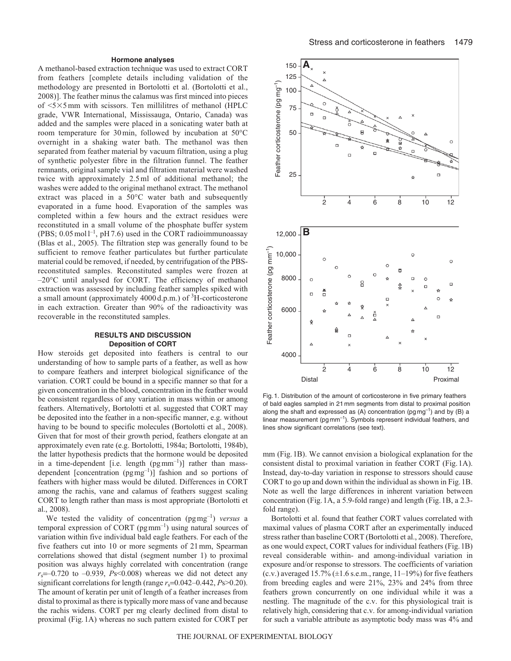#### **Hormone analyses**

A methanol-based extraction technique was used to extract CORT from feathers [complete details including validation of the methodology are presented in Bortolotti et al. (Bortolotti et al., 2008)]. The feather minus the calamus was first minced into pieces of <5×5 mm with scissors. Ten millilitres of methanol (HPLC grade, VWR International, Mississauga, Ontario, Canada) was added and the samples were placed in a sonicating water bath at room temperature for 30 min, followed by incubation at 50°C overnight in a shaking water bath. The methanol was then separated from feather material by vacuum filtration, using a plug of synthetic polyester fibre in the filtration funnel. The feather remnants, original sample vial and filtration material were washed twice with approximately 2.5 ml of additional methanol; the washes were added to the original methanol extract. The methanol extract was placed in a 50°C water bath and subsequently evaporated in a fume hood. Evaporation of the samples was completed within a few hours and the extract residues were reconstituted in a small volume of the phosphate buffer system (PBS;  $0.05 \text{ mol}^{-1}$ , pH 7.6) used in the CORT radioimmunoassay (Blas et al., 2005). The filtration step was generally found to be sufficient to remove feather particulates but further particulate material could be removed, if needed, by centrifugation of the PBSreconstituted samples. Reconstituted samples were frozen at –20°C until analysed for CORT. The efficiency of methanol extraction was assessed by including feather samples spiked with a small amount (approximately 4000 d.p.m.) of <sup>3</sup>H-corticosterone in each extraction. Greater than 90% of the radioactivity was recoverable in the reconstituted samples.

## **RESULTS AND DISCUSSION Deposition of CORT**

How steroids get deposited into feathers is central to our understanding of how to sample parts of a feather, as well as how to compare feathers and interpret biological significance of the variation. CORT could be bound in a specific manner so that for a given concentration in the blood, concentration in the feather would be consistent regardless of any variation in mass within or among feathers. Alternatively, Bortolotti et al. suggested that CORT may be deposited into the feather in a non-specific manner, e.g. without having to be bound to specific molecules (Bortolotti et al., 2008). Given that for most of their growth period, feathers elongate at an approximately even rate (e.g. Bortolotti, 1984a; Bortolotti, 1984b), the latter hypothesis predicts that the hormone would be deposited in a time-dependent [i.e. length  $(pgmm^{-1})$ ] rather than massdependent [concentration  $(pgmg^{-1})$ ] fashion and so portions of feathers with higher mass would be diluted. Differences in CORT among the rachis, vane and calamus of feathers suggest scaling CORT to length rather than mass is most appropriate (Bortolotti et al., 2008).

We tested the validity of concentration (pg mg<sup>-1</sup>) *versus* a temporal expression of CORT ( $pgmm^{-1}$ ) using natural sources of variation within five individual bald eagle feathers. For each of the five feathers cut into 10 or more segments of 21mm, Spearman correlations showed that distal (segment number 1) to proximal position was always highly correlated with concentration (range  $r_s$ =–0.720 to –0.939,  $Ps$ <0.008) whereas we did not detect any significant correlations for length (range *r*s=0.042–0.442, *P*s>0.20). The amount of keratin per unit of length of a feather increases from distal to proximal as there is typically more mass of vane and because the rachis widens. CORT per mg clearly declined from distal to proximal (Fig.1A) whereas no such pattern existed for CORT per



Fig. 1. Distribution of the amount of corticosterone in five primary feathers of bald eagles sampled in 21 mm segments from distal to proximal position along the shaft and expressed as (A) concentration ( $pg mg^{-1}$ ) and by (B) a linear measurement ( $pg \, \text{mm}^{-1}$ ). Symbols represent individual feathers, and lines show significant correlations (see text).

mm (Fig.1B). We cannot envision a biological explanation for the consistent distal to proximal variation in feather CORT (Fig.1A). Instead, day-to-day variation in response to stressors should cause CORT to go up and down within the individual as shown in Fig.1B. Note as well the large differences in inherent variation between concentration (Fig.1A, a 5.9-fold range) and length (Fig.1B, a 2.3 fold range).

Bortolotti et al. found that feather CORT values correlated with maximal values of plasma CORT after an experimentally induced stress rather than baseline CORT (Bortolotti et al., 2008). Therefore, as one would expect, CORT values for individual feathers (Fig.1B) reveal considerable within- and among-individual variation in exposure and/or response to stressors. The coefficients of variation (c.v.) averaged  $15.7\%$  ( $\pm 1.6$  s.e.m., range,  $11-19\%$ ) for five feathers from breeding eagles and were 21%, 23% and 24% from three feathers grown concurrently on one individual while it was a nestling. The magnitude of the c.v. for this physiological trait is relatively high, considering that c.v. for among-individual variation for such a variable attribute as asymptotic body mass was 4% and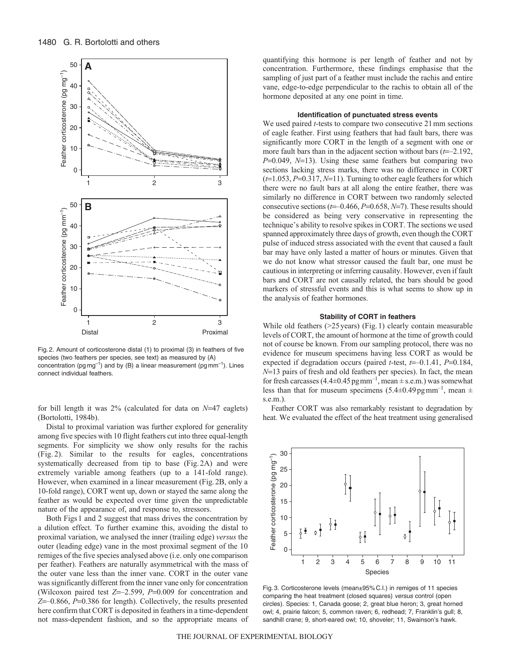

Fig. 2. Amount of corticosterone distal (1) to proximal (3) in feathers of five species (two feathers per species, see text) as measured by (A) concentration (pg mg<sup>-1</sup>) and by (B) a linear measurement (pg mm<sup>-1</sup>). Lines connect individual feathers.

for bill length it was 2% (calculated for data on *N*=47 eaglets) (Bortolotti, 1984b).

Distal to proximal variation was further explored for generality among five species with 10 flight feathers cut into three equal-length segments. For simplicity we show only results for the rachis (Fig. 2). Similar to the results for eagles, concentrations systematically decreased from tip to base (Fig. 2A) and were extremely variable among feathers (up to a 141-fold range). However, when examined in a linear measurement (Fig.2B, only a 10-fold range), CORT went up, down or stayed the same along the feather as would be expected over time given the unpredictable nature of the appearance of, and response to, stressors.

Both Figs1 and 2 suggest that mass drives the concentration by a dilution effect. To further examine this, avoiding the distal to proximal variation, we analysed the inner (trailing edge) *versus* the outer (leading edge) vane in the most proximal segment of the 10 remiges of the five species analysed above (i.e. only one comparison per feather). Feathers are naturally asymmetrical with the mass of the outer vane less than the inner vane. CORT in the outer vane was significantly different from the inner vane only for concentration (Wilcoxon paired test *Z*=–2.599, *P*=0.009 for concentration and *Z*=–0.866, *P*=0.386 for length). Collectively, the results presented here confirm that CORT is deposited in feathers in a time-dependent not mass-dependent fashion, and so the appropriate means of quantifying this hormone is per length of feather and not by concentration. Furthermore, these findings emphasise that the sampling of just part of a feather must include the rachis and entire vane, edge-to-edge perpendicular to the rachis to obtain all of the hormone deposited at any one point in time.

### **Identification of punctuated stress events**

We used paired *t*-tests to compare two consecutive 21mm sections of eagle feather. First using feathers that had fault bars, there was significantly more CORT in the length of a segment with one or more fault bars than in the adjacent section without bars (*t*=–2.192, *P*=0.049, *N*=13). Using these same feathers but comparing two sections lacking stress marks, there was no difference in CORT (*t*=1.053, *P*=0.317, *N*=11). Turning to other eagle feathers for which there were no fault bars at all along the entire feather, there was similarly no difference in CORT between two randomly selected consecutive sections (*t*=–0.466, *P*=0.658, *N*=7). These results should be considered as being very conservative in representing the technique's ability to resolve spikes in CORT. The sections we used spanned approximately three days of growth, even though the CORT pulse of induced stress associated with the event that caused a fault bar may have only lasted a matter of hours or minutes. Given that we do not know what stressor caused the fault bar, one must be cautious in interpreting or inferring causality. However, even if fault bars and CORT are not causally related, the bars should be good markers of stressful events and this is what seems to show up in the analysis of feather hormones.

## **Stability of CORT in feathers**

While old feathers (>25 years) (Fig. 1) clearly contain measurable levels of CORT, the amount of hormone at the time of growth could not of course be known. From our sampling protocol, there was no evidence for museum specimens having less CORT as would be expected if degradation occurs (paired *t*-test, *t*=–0.1.41, *P*=0.184, *N*=13 pairs of fresh and old feathers per species). In fact, the mean for fresh carcasses  $(4.4\pm0.45 \,\mathrm{pg\,mm^{-1}}$ , mean  $\pm$  s.e.m.) was somewhat less than that for museum specimens  $(5.4\pm 0.49 \,\text{pg}\,\text{mm}^{-1}$ , mean  $\pm$ s.e.m.).

Feather CORT was also remarkably resistant to degradation by heat. We evaluated the effect of the heat treatment using generalised



Fig. 3. Corticosterone levels (mean±95% C.I.) in remiges of 11 species comparing the heat treatment (closed squares) versus control (open circles). Species: 1, Canada goose; 2, great blue heron; 3, great horned owl; 4, prairie falcon; 5, common raven; 6, redhead; 7, Franklin's gull; 8, sandhill crane; 9, short-eared owl; 10, shoveler; 11, Swainson's hawk.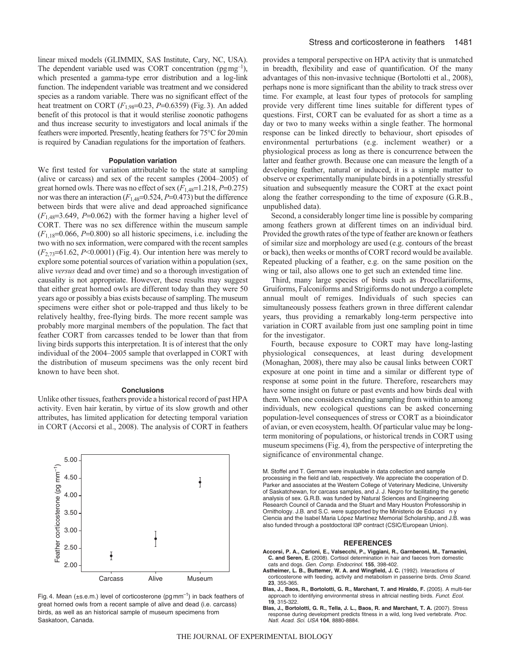linear mixed models (GLIMMIX, SAS Institute, Cary, NC, USA). The dependent variable used was CORT concentration ( $pgmg^{-1}$ ), which presented a gamma-type error distribution and a log-link function. The independent variable was treatment and we considered species as a random variable. There was no significant effect of the heat treatment on CORT (*F*1,98=0.23, *P*=0.6359) (Fig.3). An added benefit of this protocol is that it would sterilise zoonotic pathogens and thus increase security to investigators and local animals if the feathers were imported. Presently, heating feathers for 75°C for 20min is required by Canadian regulations for the importation of feathers.

## **Population variation**

We first tested for variation attributable to the state at sampling (alive or carcass) and sex of the recent samples (2004–2005) of great horned owls. There was no effect of sex (*F*1,48=1.218, *P*=0.275) nor was there an interaction (*F*1,48=0.524, *P*=0.473) but the difference between birds that were alive and dead approached significance  $(F<sub>1.48</sub>=3.649, P=0.062)$  with the former having a higher level of CORT. There was no sex difference within the museum sample  $(F_{1,18}=0.066, P=0.800)$  so all historic specimens, i.e. including the two with no sex information, were compared with the recent samples (*F*2,73=61.62, *P*<0.0001) (Fig.4). Our intention here was merely to explore some potential sources of variation within a population (sex, alive *versus* dead and over time) and so a thorough investigation of causality is not appropriate. However, these results may suggest that either great horned owls are different today than they were 50 years ago or possibly a bias exists because of sampling. The museum specimens were either shot or pole-trapped and thus likely to be relatively healthy, free-flying birds. The more recent sample was probably more marginal members of the population. The fact that feather CORT from carcasses tended to be lower than that from living birds supports this interpretation. It is of interest that the only individual of the 2004–2005 sample that overlapped in CORT with the distribution of museum specimens was the only recent bird known to have been shot.

## **Conclusions**

Unlike other tissues, feathers provide a historical record of past HPA activity. Even hair keratin, by virtue of its slow growth and other attributes, has limited application for detecting temporal variation in CORT (Accorsi et al., 2008). The analysis of CORT in feathers



Fig. 4. Mean (±s.e.m.) level of corticosterone (pg mm<sup>-1</sup>) in back feathers of great horned owls from a recent sample of alive and dead (i.e. carcass) birds, as well as an historical sample of museum specimens from Saskatoon, Canada.

provides a temporal perspective on HPA activity that is unmatched in breadth, flexibility and ease of quantification. Of the many advantages of this non-invasive technique (Bortolotti et al., 2008), perhaps none is more significant than the ability to track stress over time. For example, at least four types of protocols for sampling provide very different time lines suitable for different types of questions. First, CORT can be evaluated for as short a time as a day or two to many weeks within a single feather. The hormonal response can be linked directly to behaviour, short episodes of environmental perturbations (e.g. inclement weather) or a physiological process as long as there is concurrence between the latter and feather growth. Because one can measure the length of a developing feather, natural or induced, it is a simple matter to observe or experimentally manipulate birds in a potentially stressful situation and subsequently measure the CORT at the exact point along the feather corresponding to the time of exposure (G.R.B., unpublished data).

Second, a considerably longer time line is possible by comparing among feathers grown at different times on an individual bird. Provided the growth rates of the type of feather are known or feathers of similar size and morphology are used (e.g. contours of the breast or back), then weeks or months of CORT record would be available. Repeated plucking of a feather, e.g. on the same position on the wing or tail, also allows one to get such an extended time line.

Third, many large species of birds such as Procellariiforms, Gruiforms, Falconiforms and Strigiforms do not undergo a complete annual moult of remiges. Individuals of such species can simultaneously possess feathers grown in three different calendar years, thus providing a remarkably long-term perspective into variation in CORT available from just one sampling point in time for the investigator.

Fourth, because exposure to CORT may have long-lasting physiological consequences, at least during development (Monaghan, 2008), there may also be causal links between CORT exposure at one point in time and a similar or different type of response at some point in the future. Therefore, researchers may have some insight on future or past events and how birds deal with them. When one considers extending sampling from within to among individuals, new ecological questions can be asked concerning population-level consequences of stress or CORT as a bioindicator of avian, or even ecosystem, health. Of particular value may be longterm monitoring of populations, or historical trends in CORT using museum specimens (Fig.4), from the perspective of interpreting the significance of environmental change.

M. Stoffel and T. German were invaluable in data collection and sample processing in the field and lab, respectively. We appreciate the cooperation of D. Parker and associates at the Western College of Veterinary Medicine, University of Saskatchewan, for carcass samples, and J. J. Negro for facilitating the genetic analysis of sex. G.R.B. was funded by Natural Sciences and Engineering Research Council of Canada and the Stuart and Mary Houston Professorship in Ornithology. J.B. and S.C. were supported by the Ministerio de Educaci n y Ciencia and the Isabel Maria López Martínez Memorial Scholarship, and J.B. was also funded through a postdoctoral I3P contract (CSIC/European Union).

#### **REFERENCES**

- **Accorsi, P. A., Carloni, E., Valsecchi, P., Viggiani, R., Garnberoni, M., Tarnanini, C. and Seren, E.** (2008). Cortisol determination in hair and faeces from domestic cats and dogs. Gen. Comp. Endocrinol. **155**, 398-402.
- **Astheimer, L. B., Buttemer, W. A. and Wingfield, J. C.** (1992). Interactions of corticosterone with feeding, activity and metabolism in passerine birds. Ornis Scand. **23**, 355-365.
- **Blas, J., Baos, R., Bortolotti, G. R., Marchant, T. and Hiraldo, F.** (2005). A multi-tier approach to identifying environmental stress in altricial nestling birds. Funct. Ecol. **19**, 315-322.
- **Blas, J., Bortolotti, G. R., Tella, J. L., Baos, R. and Marchant, T. A.** (2007). Stress response during development predicts fitness in a wild, long lived vertebrate. Proc. Natl. Acad. Sci. USA **104**, 8880-8884.